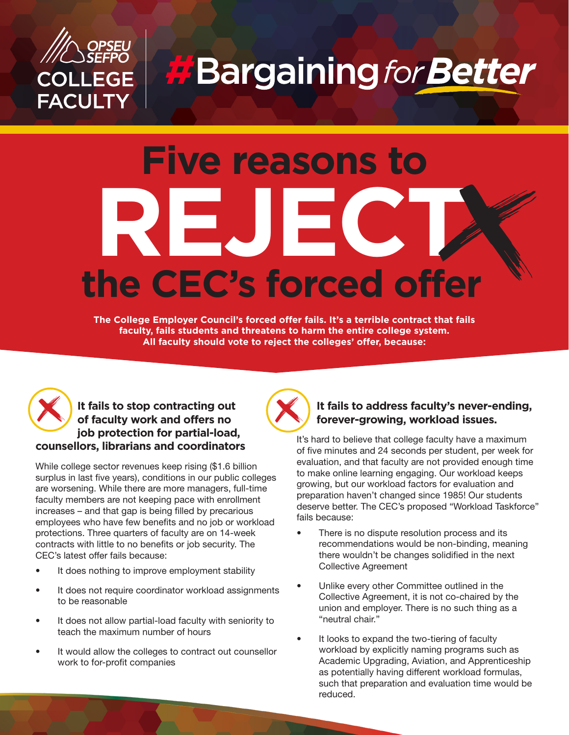

**H**Bargaining for Better

# **Five reasons to REJECT the CEC's forced offer**

**The College Employer Council's forced offer fails. It's a terrible contract that fails faculty, fails students and threatens to harm the entire college system. All faculty should vote to reject the colleges' offer, because:** 



## It fails to stop contracting out **of faculty work and offers no job protection for partial-load, counsellors, librarians and coordinators**

While college sector revenues keep rising (\$1.6 billion surplus in last five years), conditions in our public colleges are worsening. While there are more managers, full-time faculty members are not keeping pace with enrollment increases – and that gap is being filled by precarious employees who have few benefits and no job or workload protections. Three quarters of faculty are on 14-week contracts with little to no benefits or job security. The CEC's latest offer fails because:

- It does nothing to improve employment stability
- It does not require coordinator workload assignments to be reasonable
- It does not allow partial-load faculty with seniority to teach the maximum number of hours
- It would allow the colleges to contract out counsellor work to for-profit companies



#### **It fails to address faculty's never-ending, forever-growing, workload issues.**

It's hard to believe that college faculty have a maximum of five minutes and 24 seconds per student, per week for evaluation, and that faculty are not provided enough time to make online learning engaging. Our workload keeps growing, but our workload factors for evaluation and preparation haven't changed since 1985! Our students deserve better. The CEC's proposed "Workload Taskforce" fails because:

- There is no dispute resolution process and its recommendations would be non-binding, meaning there wouldn't be changes solidified in the next Collective Agreement
- Unlike every other Committee outlined in the Collective Agreement, it is not co-chaired by the union and employer. There is no such thing as a "neutral chair."
- It looks to expand the two-tiering of faculty workload by explicitly naming programs such as Academic Upgrading, Aviation, and Apprenticeship as potentially having different workload formulas, such that preparation and evaluation time would be reduced.